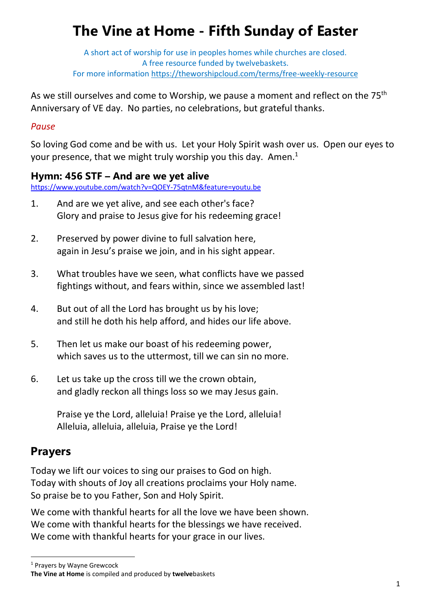# **The Vine at Home - Fifth Sunday of Easter**

A short act of worship for use in peoples homes while churches are closed. A free resource funded by twelvebaskets. For more information<https://theworshipcloud.com/terms/free-weekly-resource>

As we still ourselves and come to Worship, we pause a moment and reflect on the 75<sup>th</sup> Anniversary of VE day. No parties, no celebrations, but grateful thanks.

#### *Pause*

So loving God come and be with us. Let your Holy Spirit wash over us. Open our eyes to your presence, that we might truly worship you this day. Amen.<sup>1</sup>

#### **Hymn: 456 STF – And are we yet alive**

<https://www.youtube.com/watch?v=QOEY-75qtnM&feature=youtu.be>

- 1. And are we yet alive, and see each other's face? Glory and praise to Jesus give for his redeeming grace!
- 2. Preserved by power divine to full salvation here, again in Jesu's praise we join, and in his sight appear.
- 3. What troubles have we seen, what conflicts have we passed fightings without, and fears within, since we assembled last!
- 4. But out of all the Lord has brought us by his love; and still he doth his help afford, and hides our life above.
- 5. Then let us make our boast of his redeeming power, which saves us to the uttermost, till we can sin no more.
- 6. Let us take up the cross till we the crown obtain, and gladly reckon all things loss so we may Jesus gain.

Praise ye the Lord, alleluia! Praise ye the Lord, alleluia! Alleluia, alleluia, alleluia, Praise ye the Lord!

#### **Prayers**

Today we lift our voices to sing our praises to God on high. Today with shouts of Joy all creations proclaims your Holy name. So praise be to you Father, Son and Holy Spirit.

We come with thankful hearts for all the love we have been shown. We come with thankful hearts for the blessings we have received. We come with thankful hearts for your grace in our lives.

<sup>1</sup> Prayers by Wayne Grewcock

**The Vine at Home** is compiled and produced by **twelve**baskets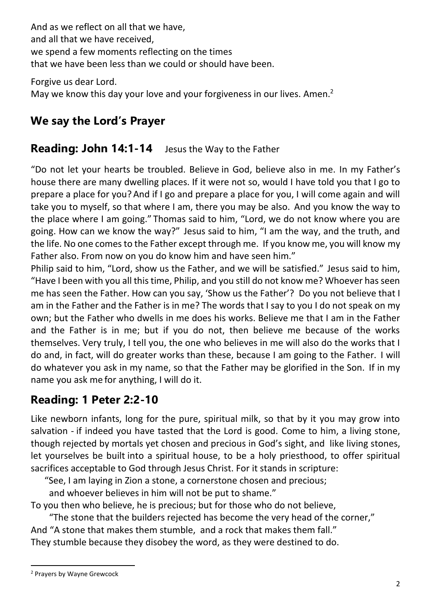And as we reflect on all that we have, and all that we have received, we spend a few moments reflecting on the times that we have been less than we could or should have been.

Forgive us dear Lord. May we know this day your love and your forgiveness in our lives. Amen.<sup>2</sup>

# **We say the Lord's Prayer**

#### **Reading: John 14:1-14** Jesus the Way to the Father

"Do not let your hearts be troubled. Believe in God, believe also in me. In my Father's house there are many dwelling places. If it were not so, would I have told you that I go to prepare a place for you? And if I go and prepare a place for you, I will come again and will take you to myself, so that where I am, there you may be also. And you know the way to the place where I am going." Thomas said to him, "Lord, we do not know where you are going. How can we know the way?" Jesus said to him, "I am the way, and the truth, and the life. No one comes to the Father except through me. If you know me, you will know my Father also. From now on you do know him and have seen him."

Philip said to him, "Lord, show us the Father, and we will be satisfied." Jesus said to him, "Have I been with you all this time, Philip, and you still do not know me? Whoever has seen me has seen the Father. How can you say, 'Show us the Father'? Do you not believe that I am in the Father and the Father is in me? The words that I say to you I do not speak on my own; but the Father who dwells in me does his works. Believe me that I am in the Father and the Father is in me; but if you do not, then believe me because of the works themselves. Very truly, I tell you, the one who believes in me will also do the works that I do and, in fact, will do greater works than these, because I am going to the Father. I will do whatever you ask in my name, so that the Father may be glorified in the Son. If in my name you ask me for anything, I will do it.

#### **Reading: 1 Peter 2:2-10**

Like newborn infants, long for the pure, spiritual milk, so that by it you may grow into salvation - if indeed you have tasted that the Lord is good. Come to him, a living stone, though rejected by mortals yet chosen and precious in God's sight, and like living stones, let yourselves be built into a spiritual house, to be a holy priesthood, to offer spiritual sacrifices acceptable to God through Jesus Christ. For it stands in scripture:

"See, I am laying in Zion a stone, a cornerstone chosen and precious;

and whoever believes in him will not be put to shame."

To you then who believe, he is precious; but for those who do not believe,

"The stone that the builders rejected has become the very head of the corner,"

And "A stone that makes them stumble, and a rock that makes them fall."

They stumble because they disobey the word, as they were destined to do.

<sup>2</sup> Prayers by Wayne Grewcock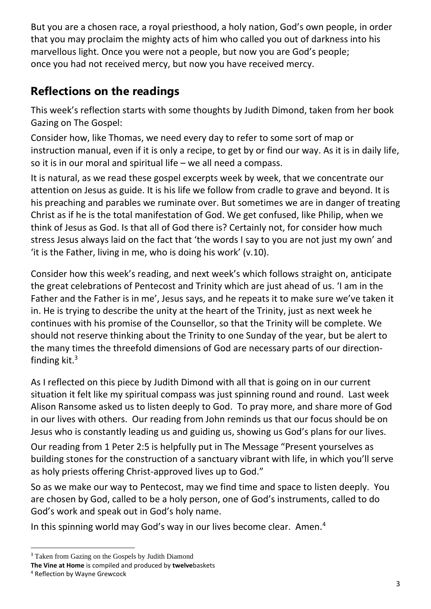But you are a chosen race, a royal priesthood, a holy nation, God's own people, in order that you may proclaim the mighty acts of him who called you out of darkness into his marvellous light. Once you were not a people, but now you are God's people; once you had not received mercy, but now you have received mercy.

# **Reflections on the readings**

This week's reflection starts with some thoughts by Judith Dimond, taken from her book Gazing on The Gospel:

Consider how, like Thomas, we need every day to refer to some sort of map or instruction manual, even if it is only a recipe, to get by or find our way. As it is in daily life, so it is in our moral and spiritual life – we all need a compass.

It is natural, as we read these gospel excerpts week by week, that we concentrate our attention on Jesus as guide. It is his life we follow from cradle to grave and beyond. It is his preaching and parables we ruminate over. But sometimes we are in danger of treating Christ as if he is the total manifestation of God. We get confused, like Philip, when we think of Jesus as God. Is that all of God there is? Certainly not, for consider how much stress Jesus always laid on the fact that 'the words I say to you are not just my own' and 'it is the Father, living in me, who is doing his work' (v.10).

Consider how this week's reading, and next week's which follows straight on, anticipate the great celebrations of Pentecost and Trinity which are just ahead of us. 'I am in the Father and the Father is in me', Jesus says, and he repeats it to make sure we've taken it in. He is trying to describe the unity at the heart of the Trinity, just as next week he continues with his promise of the Counsellor, so that the Trinity will be complete. We should not reserve thinking about the Trinity to one Sunday of the year, but be alert to the many times the threefold dimensions of God are necessary parts of our directionfinding  $kit.^3$ 

As I reflected on this piece by Judith Dimond with all that is going on in our current situation it felt like my spiritual compass was just spinning round and round. Last week Alison Ransome asked us to listen deeply to God. To pray more, and share more of God in our lives with others. Our reading from John reminds us that our focus should be on Jesus who is constantly leading us and guiding us, showing us God's plans for our lives.

Our reading from 1 Peter 2:5 is helpfully put in The Message "Present yourselves as building stones for the construction of a sanctuary vibrant with life, in which you'll serve as holy priests offering Christ-approved lives up to God."

So as we make our way to Pentecost, may we find time and space to listen deeply. You are chosen by God, called to be a holy person, one of God's instruments, called to do God's work and speak out in God's holy name.

In this spinning world may God's way in our lives become clear. Amen.<sup>4</sup>

<sup>&</sup>lt;sup>3</sup> Taken from Gazing on the Gospels by Judith Diamond

**The Vine at Home** is compiled and produced by **twelve**baskets

<sup>4</sup> Reflection by Wayne Grewcock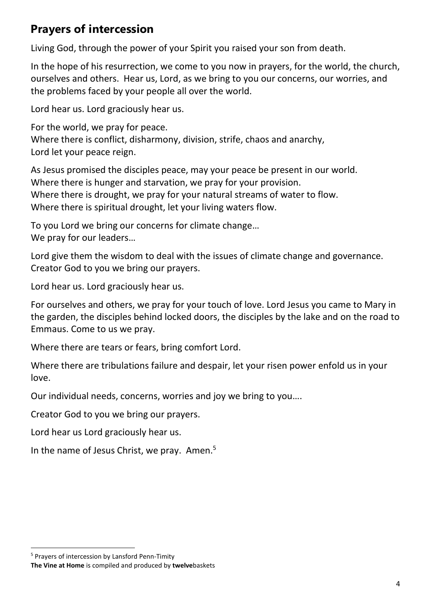### **Prayers of intercession**

Living God, through the power of your Spirit you raised your son from death.

In the hope of his resurrection, we come to you now in prayers, for the world, the church, ourselves and others. Hear us, Lord, as we bring to you our concerns, our worries, and the problems faced by your people all over the world.

Lord hear us. Lord graciously hear us.

For the world, we pray for peace. Where there is conflict, disharmony, division, strife, chaos and anarchy, Lord let your peace reign.

As Jesus promised the disciples peace, may your peace be present in our world. Where there is hunger and starvation, we pray for your provision. Where there is drought, we pray for your natural streams of water to flow. Where there is spiritual drought, let your living waters flow.

To you Lord we bring our concerns for climate change… We pray for our leaders…

Lord give them the wisdom to deal with the issues of climate change and governance. Creator God to you we bring our prayers.

Lord hear us. Lord graciously hear us.

For ourselves and others, we pray for your touch of love. Lord Jesus you came to Mary in the garden, the disciples behind locked doors, the disciples by the lake and on the road to Emmaus. Come to us we pray.

Where there are tears or fears, bring comfort Lord.

Where there are tribulations failure and despair, let your risen power enfold us in your love.

Our individual needs, concerns, worries and joy we bring to you….

Creator God to you we bring our prayers.

Lord hear us Lord graciously hear us.

In the name of Jesus Christ, we pray. Amen. $5$ 

<sup>5</sup> Prayers of intercession by Lansford Penn-Timity

**The Vine at Home** is compiled and produced by **twelve**baskets